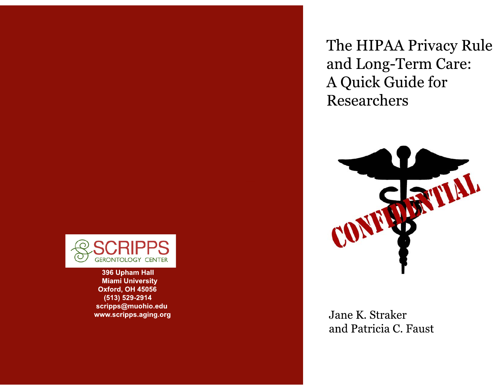

396 Upham Hall **Miami University** Oxford, OH 45056 (513) 529-2914 scripps@muohio.edu www.scripps.aging.org The HIPAA Privacy Rule and Long-Term Care: A Quick Guide for Researchers



Jane K. Straker and Patricia C. Faust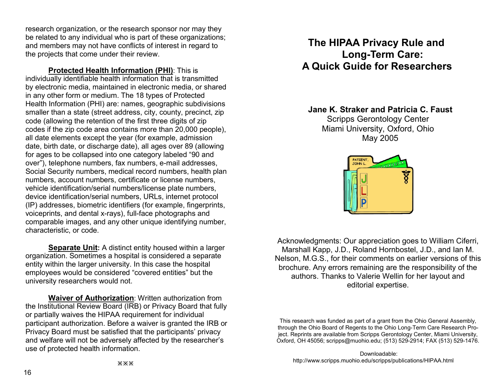research organization, or the research sponsor nor may they be related to any individual who is part of these organizations; and members may not have conflicts of interest in regard to the projects that come under their review.

**Protected Health Information (PHI)**: This is individually identifiable health information that is transmitted by electronic media, maintained in electronic media, or shared in any other form or medium. The 18 types of Protected Health Information (PHI) are: names, geographic subdivisions smaller than a state (street address, city, county, precinct, zip code (allowing the retention of the first three digits of zip codes if the zip code area contains more than 20,000 people), all date elements except the year (for example, admission date, birth date, or discharge date), all ages over 89 (allowing for ages to be collapsed into one category labeled "90 and over"), telephone numbers, fax numbers, e-mail addresses, Social Security numbers, medical record numbers, health plan numbers, account numbers, certificate or license numbers, vehicle identification/serial numbers/license plate numbers, device identification/serial numbers, URLs, internet protocol (IP) addresses, biometric identifiers (for example, fingerprints, voiceprints, and dental x-rays), full-face photographs and comparable images, and any other unique identifying number, characteristic, or code.

**Separate Unit:** A distinct entity housed within a larger organization. Sometimes a hospital is considered a separate entity within the larger university. In this case the hospital employees would be considered "covered entities" but the university researchers would not.

**Waiver of Authorization**: Written authorization from the Institutional Review Board (IRB) or Privacy Board that fully or partially waives the HIPAA requirement for individual participant authorization. Before a waiver is granted the IRB or Privacy Board must be satisfied that the participants' privacy and welfare will not be adversely affected by the researcher's use of protected health information.

# **The HIPAA Privacy Rule and Long-Term Care: A Quick Guide for Researchers**

**Jane K. Straker and Patricia C. Faust** Scripps Gerontology Center Miami University, Oxford, Ohio May 2005



Acknowledgments: Our appreciation goes to William Ciferri, Marshall Kapp, J.D., Roland Hornbostel, J.D., and Ian M. Nelson, M.G.S., for their comments on earlier versions of this brochure. Any errors remaining are the responsibility of the authors. Thanks to Valerie Wellin for her layout and editorial expertise.

This research was funded as part of a grant from the Ohio General Assembly, through the Ohio Board of Regents to the Ohio Long-Term Care Research Project. Reprints are available from Scripps Gerontology Center, Miami University, Oxford, OH 45056; scripps@muohio.edu; (513) 529-2914; FAX (513) 529-1476.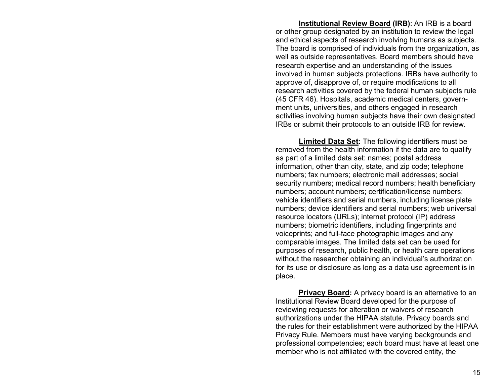**Institutional Review Board (IRB)**: An IRB is a board or other group designated by an institution to review the legal and ethical aspects of research involving humans as subjects. The board is comprised of individuals from the organization, as well as outside representatives. Board members should have research expertise and an understanding of the issues involved in human subjects protections. IRBs have authority to approve of, disapprove of, or require modifications to all research activities covered by the federal human subjects rule (45 CFR 46). Hospitals, academic medical centers, government units, universities, and others engaged in research activities involving human subjects have their own designated IRBs or submit their protocols to an outside IRB for review.

**Limited Data Set:** The following identifiers must be removed from the health information if the data are to qualify as part of a limited data set: names; postal address information, other than city, state, and zip code; telephone numbers; fax numbers; electronic mail addresses; social security numbers; medical record numbers; health beneficiary numbers; account numbers; certification/license numbers; vehicle identifiers and serial numbers, including license plate numbers; device identifiers and serial numbers; web universal resource locators (URLs); internet protocol (IP) address numbers; biometric identifiers, including fingerprints and voiceprints; and full-face photographic images and any comparable images. The limited data set can be used for purposes of research, public health, or health care operations without the researcher obtaining an individual's authorization for its use or disclosure as long as a data use agreement is in place.

**Privacy Board:** A privacy board is an alternative to an Institutional Review Board developed for the purpose of reviewing requests for alteration or waivers of research authorizations under the HIPAA statute. Privacy boards and the rules for their establishment were authorized by the HIPAA Privacy Rule. Members must have varying backgrounds and professional competencies; each board must have at least one member who is not affiliated with the covered entity, the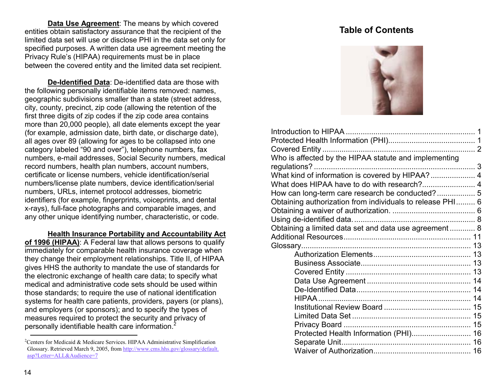**Data Use Agreement**: The means by which covered entities obtain satisfactory assurance that the recipient of the limited data set will use or disclose PHI in the data set only for specified purposes. A written data use agreement meeting the Privacy Rule's (HIPAA) requirements must be in place between the covered entity and the limited data set recipient.

**De-Identified Data**: De-identified data are those with the following personally identifiable items removed: names, geographic subdivisions smaller than a state (street address, city, county, precinct, zip code (allowing the retention of the first three digits of zip codes if the zip code area contains more than 20,000 people), all date elements except the year (for example, admission date, birth date, or discharge date), all ages over 89 (allowing for ages to be collapsed into one category labeled "90 and over"), telephone numbers, fax numbers, e-mail addresses, Social Security numbers, medical record numbers, health plan numbers, account numbers, certificate or license numbers, vehicle identification/serial numbers/license plate numbers, device identification/serial numbers, URLs, internet protocol addresses, biometric identifiers (for example, fingerprints, voiceprints, and dental x-rays), full-face photographs and comparable images, and any other unique identifying number, characteristic, or code.

**Health Insurance Portability and Accountability Act** 

**of 1996 (HIPAA)**: A Federal law that allows persons to qualify immediately for comparable health insurance coverage when they change their employment relationships. Title II, of HIPAA gives HHS the authority to mandate the use of standards for the electronic exchange of health care data; to specify what medical and administrative code sets should be used within those standards; to require the use of national identification systems for health care patients, providers, payers (or plans), and employers (or sponsors); and to specify the types of measures required to protect the security and privacy of personally identifiable health care information.<sup>2</sup>

## **Table of Contents**



| Who is affected by the HIPAA statute and implementing     |  |
|-----------------------------------------------------------|--|
|                                                           |  |
| What kind of information is covered by HIPAA? 4           |  |
|                                                           |  |
| How can long-term care research be conducted? 5           |  |
| Obtaining authorization from individuals to release PHI 6 |  |
|                                                           |  |
|                                                           |  |
| Obtaining a limited data set and data use agreement 8     |  |
|                                                           |  |
|                                                           |  |
|                                                           |  |
|                                                           |  |
|                                                           |  |
|                                                           |  |
|                                                           |  |
| HIPAA.                                                    |  |
|                                                           |  |
|                                                           |  |
|                                                           |  |
| Protected Health Information (PHI) 16                     |  |
|                                                           |  |
|                                                           |  |

<sup>&</sup>lt;sup>2</sup>Centers for Medicaid & Medicare Services. HIPAA Administrative Simplification Glossary. Retrieved March 9, 2005, from http://www.cms.hhs.gov/glossary/default. asp?Letter=ALL&Audience=7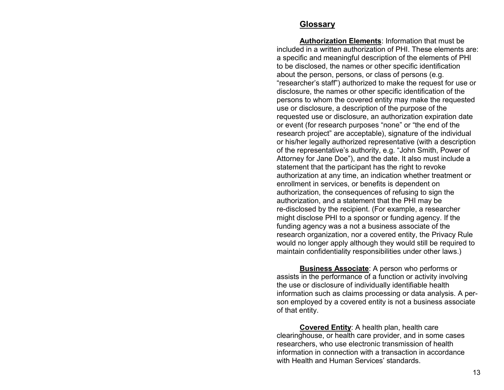#### **Glossary**

**Authorization Elements**: Information that must be included in a written authorization of PHI. These elements are: a specific and meaningful description of the elements of PHI to be disclosed, the names or other specific identification about the person, persons, or class of persons (e.g. "researcher's staff") authorized to make the request for use or disclosure, the names or other specific identification of the persons to whom the covered entity may make the requested use or disclosure, a description of the purpose of the requested use or disclosure, an authorization expiration date or event (for research purposes "none" or "the end of the research project" are acceptable), signature of the individual or his/her legally authorized representative (with a description of the representative's authority, e.g. "John Smith, Power of Attorney for Jane Doe"), and the date. It also must include a statement that the participant has the right to revoke authorization at any time, an indication whether treatment or enrollment in services, or benefits is dependent on authorization, the consequences of refusing to sign the authorization, and a statement that the PHI may be re-disclosed by the recipient. (For example, a researcher might disclose PHI to a sponsor or funding agency. If the funding agency was a not a business associate of the research organization, nor a covered entity, the Privacy Rule would no longer apply although they would still be required to maintain confidentiality responsibilities under other laws.)

**Business Associate**: A person who performs or assists in the performance of a function or activity involving the use or disclosure of individually identifiable health information such as claims processing or data analysis. A person employed by a covered entity is not a business associate of that entity.

**Covered Entity**: A health plan, health care clearinghouse, or health care provider, and in some cases researchers, who use electronic transmission of health information in connection with a transaction in accordance with Health and Human Services' standards.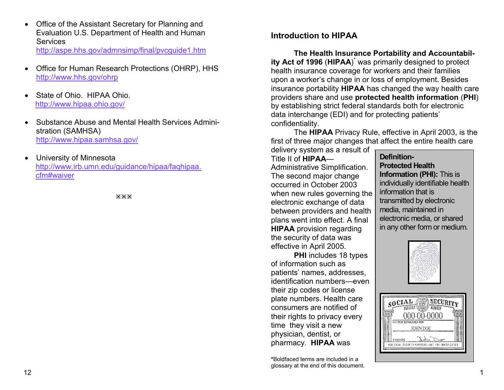- • Office of the Assistant Secretary for Planning and Evaluation U.S. Department of Health and Human **Services** http://aspe.hhs.gov/admnsimp/final/pvcguide1.htm
- • Office for Human Research Protections (OHRP), HHS http://www.hhs.gov/ohrp
- • State of Ohio. HIPAA Ohio. http://www.hipaa.ohio.gov/
- • Substance Abuse and Mental Health Services Administration (SAMHSA) http://www.hipaa.samhsa.gov/
- • University of Minnesota http://www.irb.umn.edu/guidance/hipaa/faqhipaa. cfm#waiver

ÚÚÚ

# **Introduction to HIPAA**

**The Health Insurance Portability and Accountability Act of 1996 (HIPAA)<sup>\*</sup> was primarily designed to protect** health insurance coverage for workers and their families upon a worker's change in or loss of employment. Besides insurance portability **HIPAA** has changed the way health care providers share and use **protected health information** (**PHI**) by establishing strict federal standards both for electronic data interchange (EDI) and for protecting patients' confidentiality.

The **HIPAA** Privacy Rule, effective in April 2003, is the first of three major changes that affect the entire health care

delivery system as a result of Title II of **HIPAA**—Administrative Simplification. The second major change occurred in October 2003 when new rules governing the electronic exchange of data between providers and health plans went into effect. A final **HIPAA** provision regarding the security of data was effective in April 2005.

 **PHI** includes 18 types of information such as patients' names, addresses, identification numbers—even their zip codes or license plate numbers. Health care consumers are notified of their rights to privacy every time they visit a new physician, dentist, or pharmacy. **HIPAA** was

**\***Boldfaced terms are included in a glossary at the end of this document.

**Definition-Protected Health Information (PHI):** This is individually identifiable health information that is transmitted by electronic media, maintained in electronic media, or shared in any other form or medium.



| SOCIAL<br><b>SECURITY</b><br>KUMBER<br>ACCOUNT                   |
|------------------------------------------------------------------|
| 000-00-0000<br>HAS BEEN ESTABLISHED FOR                          |
| JOHN DOE                                                         |
| SIGNATURE<br>FOR SOCIAL SECURITY PURPOSES-WOT FOR IDENTIFICATION |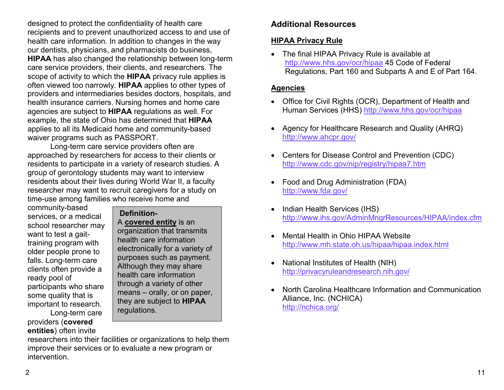designed to protect the confidentiality of health care recipients and to prevent unauthorized access to and use of health care information. In addition to changes in the way our dentists, physicians, and pharmacists do business, **HIPAA** has also changed the relationship between long-term care service providers, their clients, and researchers. The scope of activity to which the **HIPAA** privacy rule applies is often viewed too narrowly. **HIPAA** applies to other types of providers and intermediaries besides doctors, hospitals, and health insurance carriers. Nursing homes and home care agencies are subject to **HIPAA** regulations as well. For example, the state of Ohio has determined that **HIPAA** applies to all its Medicaid home and community-based waiver programs such as PASSPORT.

Long-term care service providers often are approached by researchers for access to their clients or residents to participate in a variety of research studies. A group of gerontology students may want to interview residents about their lives during World War II, a faculty researcher may want to recruit caregivers for a study on time-use among families who receive home and

community-based services, or a medical school researcher may want to test a gaittraining program with older people prone to falls. Long-term care clients often provide a ready pool of participants who share some quality that is important to research. Long-term care

providers (**covered entities**) often invite

#### **Definition-**

A **covered entity** is an organization that transmits health care information electronically for a variety of purposes such as payment. through a variety of other

# Although they may share health care information

means – orally, or on paper, they are subject to **HIPAA**  regulations.

researchers into their facilities or organizations to help them improve their services or to evaluate a new program or intervention.

# **Additional Resources**

# **HIPAA Privacy Rule**

• The final HIPAA Privacy Rule is available at http://www.hhs.gov/ocr/hipaa 45 Code of Federal Regulations, Part 160 and Subparts A and E of Part 164.

# **Agencies**

- Office for Civil Rights (OCR), Department of Health and Human Services (HHS) http://www.hhs.gov/ocr/hipaa
- Agency for Healthcare Research and Quality (AHRQ) http://www.ahcpr.gov/
- Centers for Disease Control and Prevention (CDC) http://www.cdc.gov/nip/registry/hipaa7.htm
- Food and Drug Administration (FDA) http://www.fda.gov/
- Indian Health Services (IHS) http://www.ihs.gov/AdminMngrResources/HIPAA/index.cfm
- Mental Health in Ohio HIPAA Website http://www.mh.state.oh.us/hipaa/hipaa.index.html
- National Institutes of Health (NIH) http://privacyruleandresearch.nih.gov/
- North Carolina Healthcare Information and Communication Alliance, Inc. (NCHICA) http://nchica.org/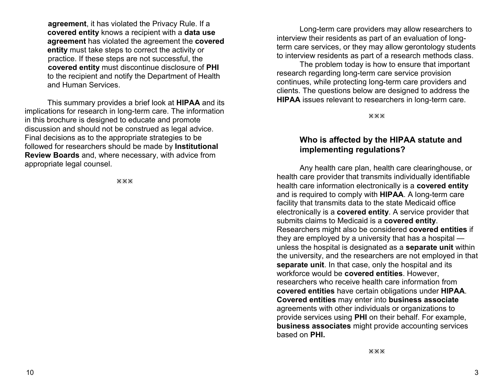**agreement**, it has violated the Privacy Rule. If a **covered entity** knows a recipient with a **data use agreement** has violated the agreement the **covered entity** must take steps to correct the activity or practice. If these steps are not successful, the **covered entity** must discontinue disclosure of **PHI** to the recipient and notify the Department of Health and Human Services.

This summary provides a brief look at **HIPAA** and its implications for research in long-term care. The information in this brochure is designed to educate and promote discussion and should not be construed as legal advice. Final decisions as to the appropriate strategies to be followed for researchers should be made by **Institutional Review Boards** and, where necessary, with advice from appropriate legal counsel.

**XXX** 

 Long-term care providers may allow researchers to interview their residents as part of an evaluation of longterm care services, or they may allow gerontology students to interview residents as part of a research methods class.

 The problem today is how to ensure that important research regarding long-term care service provision continues, while protecting long-term care providers and clients. The questions below are designed to address the **HIPAA** issues relevant to researchers in long-term care.

**XXX** 

#### **Who is affected by the HIPAA statute and implementing regulations?**

Any health care plan, health care clearinghouse, or health care provider that transmits individually identifiable health care information electronically is a **covered entity**  and is required to comply with **HIPAA**. A long-term care facility that transmits data to the state Medicaid office electronically is a **covered entity**. A service provider that submits claims to Medicaid is a **covered entity**. Researchers might also be considered **covered entities** if they are employed by a university that has a hospital unless the hospital is designated as a **separate unit** within the university, and the researchers are not employed in that **separate unit**. In that case, only the hospital and its workforce would be **covered entities**. However, researchers who receive health care information from **covered entities** have certain obligations under **HIPAA**. **Covered entities** may enter into **business associate**  agreements with other individuals or organizations to provide services using **PHI** on their behalf. For example, **business associates** might provide accounting services based on **PHI.**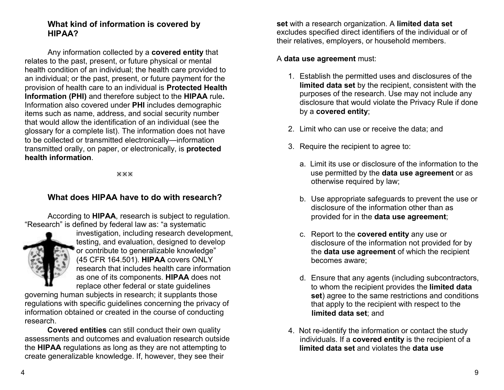## **What kind of information is covered by HIPAA?**

Any information collected by a **covered entity** that relates to the past, present, or future physical or mental health condition of an individual; the health care provided to an individual; or the past, present, or future payment for the provision of health care to an individual is **Protected Health Information (PHI)** and therefore subject to the **HIPAA** rule**.** Information also covered under **PHI** includes demographic items such as name, address, and social security number that would allow the identification of an individual (see the glossary for a complete list). The information does not have to be collected or transmitted electronically—information transmitted orally, on paper, or electronically, is **protected health information**.

**XXX** 

## **What does HIPAA have to do with research?**

According to **HIPAA**, research is subject to regulation. "Research" is defined by federal law as: "a systematic



investigation, including research development, testing, and evaluation, designed to develop or contribute to generalizable knowledge" (45 CFR 164.501). **HIPAA** covers ONLY research that includes health care information as one of its components. **HIPAA** does not replace other federal or state guidelines

governing human subjects in research; it supplants those regulations with specific guidelines concerning the privacy of information obtained or created in the course of conducting research.

**Covered entities** can still conduct their own quality assessments and outcomes and evaluation research outside the **HIPAA** regulations as long as they are not attempting to create generalizable knowledge. If, however, they see their

**set** with a research organization. A **limited data set**  excludes specified direct identifiers of the individual or of their relatives, employers, or household members.

#### A **data use agreement** must:

- 1. Establish the permitted uses and disclosures of the **limited data set** by the recipient, consistent with the purposes of the research. Use may not include any disclosure that would violate the Privacy Rule if done by a **covered entity**;
- 2. Limit who can use or receive the data; and
- 3. Require the recipient to agree to:
	- a. Limit its use or disclosure of the information to the use permitted by the **data use agreement** or as otherwise required by law;
	- b. Use appropriate safeguards to prevent the use or disclosure of the information other than as provided for in the **data use agreement**;
	- c. Report to the **covered entity** any use or disclosure of the information not provided for by the **data use agreement** of which the recipient becomes aware;
	- d. Ensure that any agents (including subcontractors, to whom the recipient provides the **limited data set**) agree to the same restrictions and conditions that apply to the recipient with respect to the **limited data set**; and
- 4. Not re-identify the information or contact the study individuals. If a **covered entity** is the recipient of a **limited data set** and violates the **data use**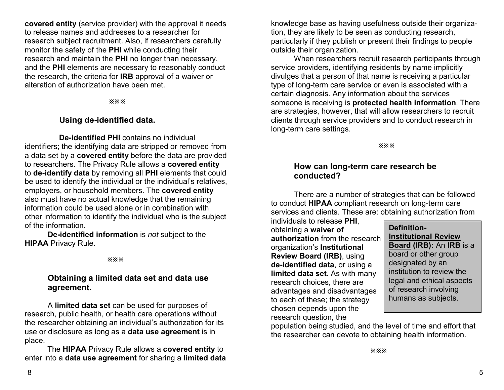**covered entity** (service provider) with the approval it needs to release names and addresses to a researcher for research subject recruitment. Also, if researchers carefully monitor the safety of the **PHI** while conducting their research and maintain the **PHI** no longer than necessary, and the **PHI** elements are necessary to reasonably conduct the research, the criteria for **IRB** approval of a waiver or alteration of authorization have been met.

**XXX** 

#### **Using de-identified data.**

**De-identified PHI** contains no individual identifiers; the identifying data are stripped or removed from a data set by a **covered entity** before the data are provided to researchers. The Privacy Rule allows a **covered entity** to **de-identify data** by removing all **PHI** elements that could be used to identify the individual or the individual's relatives, employers, or household members. The **covered entity**  also must have no actual knowledge that the remaining information could be used alone or in combination with other information to identify the individual who is the subject of the information.

**De-identified information** is *not* subject to the **HIPAA** Privacy Rule.

**XXX** 

#### **Obtaining a limited data set and data use agreement.**

A **limited data set** can be used for purposes of research, public health, or health care operations without the researcher obtaining an individual's authorization for its use or disclosure as long as a **data use agreement** is in place.

The **HIPAA** Privacy Rule allows a **covered entity** to enter into a **data use agreement** for sharing a **limited data** 

knowledge base as having usefulness outside their organization, they are likely to be seen as conducting research, particularly if they publish or present their findings to people outside their organization.

When researchers recruit research participants through service providers, identifying residents by name implicitly divulges that a person of that name is receiving a particular type of long-term care service or even is associated with a certain diagnosis. Any information about the services someone is receiving is **protected health information**. There are strategies, however, that will allow researchers to recruit clients through service providers and to conduct research in long-term care settings.

**XXX** 

### **How can long-term care research be conducted?**

There are a number of strategies that can be followed to conduct **HIPAA** compliant research on long-term care services and clients. These are: obtaining authorization from

individuals to release **PHI**, obtaining a **waiver of authorization** from the research organization's **Institutional Review Board (IRB)**, using **de-identified data**, or using a **limited data set**. As with many research choices, there are advantages and disadvantages to each of these; the strategy chosen depends upon the research question, the

**Definition-Institutional Review Board (IRB):** An **IRB** is a board or other group designated by an institution to review the legal and ethical aspects of research involving humans as subjects.

population being studied, and the level of time and effort that the researcher can devote to obtaining health information.